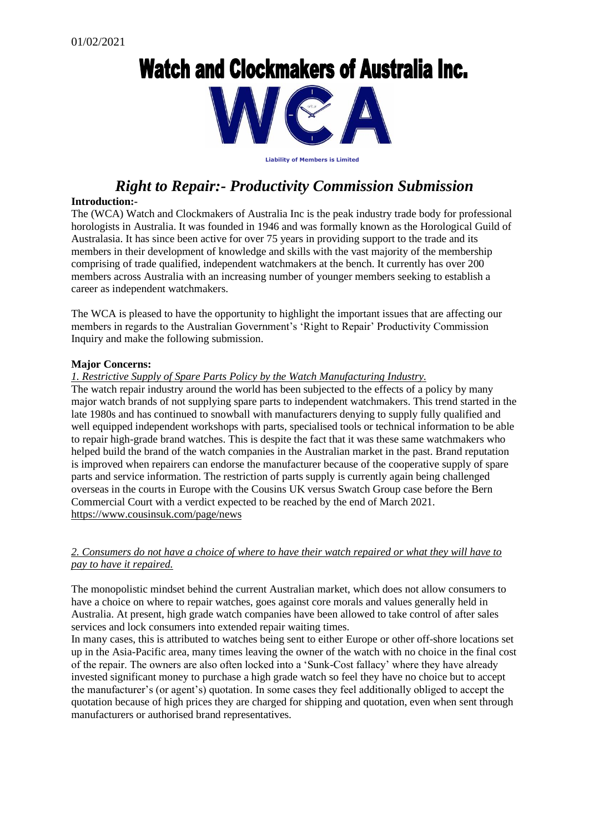# **Watch and Clockmakers of Australia Inc.**



**Liability of Members is Limited**

# *Right to Repair:- Productivity Commission Submission*

#### **Introduction:-**

The (WCA) Watch and Clockmakers of Australia Inc is the peak industry trade body for professional horologists in Australia. It was founded in 1946 and was formally known as the Horological Guild of Australasia. It has since been active for over 75 years in providing support to the trade and its members in their development of knowledge and skills with the vast majority of the membership comprising of trade qualified, independent watchmakers at the bench. It currently has over 200 members across Australia with an increasing number of younger members seeking to establish a career as independent watchmakers.

The WCA is pleased to have the opportunity to highlight the important issues that are affecting our members in regards to the Australian Government's 'Right to Repair' Productivity Commission Inquiry and make the following submission.

#### **Major Concerns:**

*1. Restrictive Supply of Spare Parts Policy by the Watch Manufacturing Industry.*

The watch repair industry around the world has been subjected to the effects of a policy by many major watch brands of not supplying spare parts to independent watchmakers. This trend started in the late 1980s and has continued to snowball with manufacturers denying to supply fully qualified and well equipped independent workshops with parts, specialised tools or technical information to be able to repair high-grade brand watches. This is despite the fact that it was these same watchmakers who helped build the brand of the watch companies in the Australian market in the past. Brand reputation is improved when repairers can endorse the manufacturer because of the cooperative supply of spare parts and service information. The restriction of parts supply is currently again being challenged overseas in the courts in Europe with the Cousins UK versus Swatch Group case before the Bern Commercial Court with a verdict expected to be reached by the end of March 2021. <https://www.cousinsuk.com/page/news>

## *2. Consumers do not have a choice of where to have their watch repaired or what they will have to pay to have it repaired.*

The monopolistic mindset behind the current Australian market, which does not allow consumers to have a choice on where to repair watches, goes against core morals and values generally held in Australia. At present, high grade watch companies have been allowed to take control of after sales services and lock consumers into extended repair waiting times.

In many cases, this is attributed to watches being sent to either Europe or other off-shore locations set up in the Asia-Pacific area, many times leaving the owner of the watch with no choice in the final cost of the repair. The owners are also often locked into a 'Sunk-Cost fallacy' where they have already invested significant money to purchase a high grade watch so feel they have no choice but to accept the manufacturer's (or agent's) quotation. In some cases they feel additionally obliged to accept the quotation because of high prices they are charged for shipping and quotation, even when sent through manufacturers or authorised brand representatives.